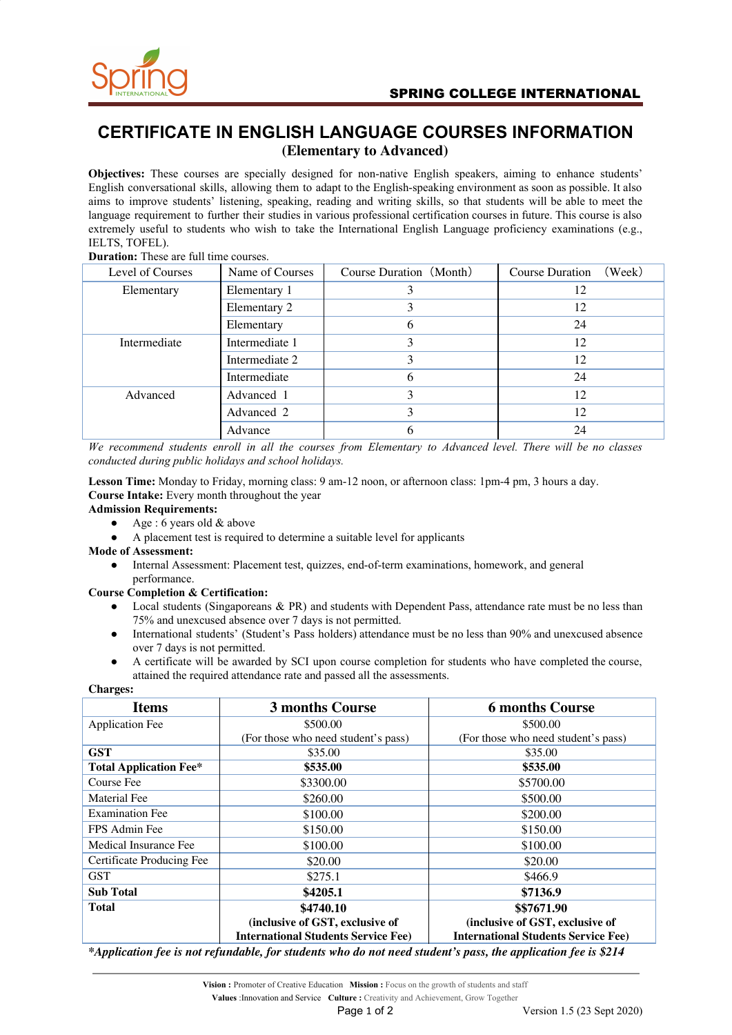

# **CERTIFICATE IN ENGLISH LANGUAGE COURSES INFORMATION (Elementary to Advanced)**

**Objectives:** These courses are specially designed for non-native English speakers, aiming to enhance students' English conversational skills, allowing them to adapt to the English-speaking environment as soon as possible. It also aims to improve students' listening, speaking, reading and writing skills, so that students will be able to meet the language requirement to further their studies in various professional certification courses in future. This course is also extremely useful to students who wish to take the International English Language proficiency examinations (e.g., IELTS, TOFEL).

## **Duration:** These are full time courses.

| Level of Courses | Name of Courses | Course Duration (Month) | (Week)<br><b>Course Duration</b> |
|------------------|-----------------|-------------------------|----------------------------------|
| Elementary       | Elementary 1    |                         | 12                               |
|                  | Elementary 2    |                         | 12                               |
|                  | Elementary      | h                       | 24                               |
| Intermediate     | Intermediate 1  |                         | 12                               |
|                  | Intermediate 2  |                         | 12                               |
|                  | Intermediate    | h                       | 24                               |
| Advanced         | Advanced 1      |                         | 12                               |
|                  | Advanced 2      |                         | 12                               |
|                  | Advance         |                         | 24                               |

We recommend students enroll in all the courses from Elementary to Advanced level. There will be no classes *conducted during public holidays and school holidays.*

**Lesson Time:** Monday to Friday, morning class: 9 am-12 noon, or afternoon class: 1pm-4 pm, 3 hours a day. **Course Intake:** Every month throughout the year

### **Admission Requirements:**

- Age : 6 years old  $&$  above
- A placement test is required to determine a suitable level for applicants

### **Mode of Assessment:**

Internal Assessment: Placement test, quizzes, end-of-term examinations, homework, and general performance.

### **Course Completion & Certification:**

- Local students (Singaporeans & PR) and students with Dependent Pass, attendance rate must be no less than 75% and unexcused absence over 7 days is not permitted.
- International students' (Student's Pass holders) attendance must be no less than 90% and unexcused absence over 7 days is not permitted.
- A certificate will be awarded by SCI upon course completion for students who have completed the course, attained the required attendance rate and passed all the assessments.

| <b>Charges:</b>               |                                                                                                               |                                            |  |
|-------------------------------|---------------------------------------------------------------------------------------------------------------|--------------------------------------------|--|
| <b>Items</b>                  | 3 months Course                                                                                               | <b>6 months Course</b>                     |  |
| <b>Application Fee</b>        | \$500.00                                                                                                      | \$500.00                                   |  |
|                               | (For those who need student's pass)                                                                           | (For those who need student's pass)        |  |
| <b>GST</b>                    | \$35.00                                                                                                       | \$35.00                                    |  |
| <b>Total Application Fee*</b> | \$535.00                                                                                                      | \$535.00                                   |  |
| Course Fee                    | \$3300.00                                                                                                     | \$5700.00                                  |  |
| Material Fee                  | \$260.00                                                                                                      | \$500.00                                   |  |
| <b>Examination Fee</b>        | \$100.00                                                                                                      | \$200.00                                   |  |
| FPS Admin Fee                 | \$150.00                                                                                                      | \$150.00                                   |  |
| Medical Insurance Fee         | \$100.00                                                                                                      | \$100.00                                   |  |
| Certificate Producing Fee     | \$20.00                                                                                                       | \$20.00                                    |  |
| GST                           | \$275.1                                                                                                       | \$466.9                                    |  |
| <b>Sub Total</b>              | \$4205.1                                                                                                      | \$7136.9                                   |  |
| Total                         | \$4740.10                                                                                                     | \$\$7671.90                                |  |
|                               | (inclusive of GST, exclusive of                                                                               | (inclusive of GST, exclusive of            |  |
|                               | <b>International Students Service Fee)</b>                                                                    | <b>International Students Service Fee)</b> |  |
|                               | *Application fee is not refundable, for students who do not need student's pass, the application fee is \$214 |                                            |  |